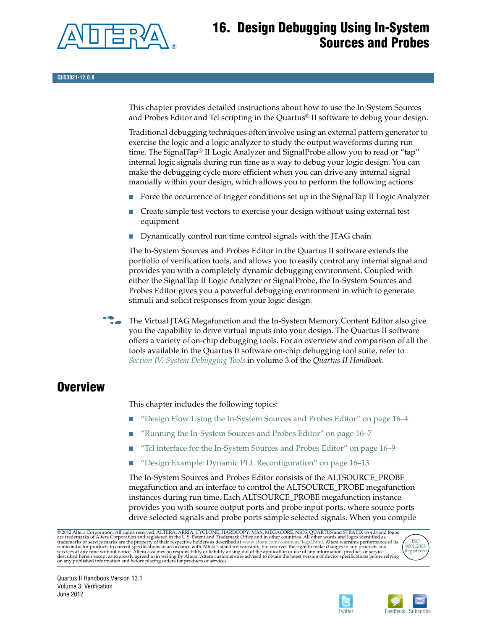

# **16. Design Debugging Using In-System Sources and Probes**

This chapter provides detailed instructions about how to use the In-System Sources and Probes Editor and Tcl scripting in the Quartus® II software to debug your design.

Traditional debugging techniques often involve using an external pattern generator to exercise the logic and a logic analyzer to study the output waveforms during run time. The SignalTap® II Logic Analyzer and SignalProbe allow you to read or "tap" internal logic signals during run time as a way to debug your logic design. You can make the debugging cycle more efficient when you can drive any internal signal manually within your design, which allows you to perform the following actions:

- Force the occurrence of trigger conditions set up in the SignalTap II Logic Analyzer
- Create simple test vectors to exercise your design without using external test equipment
- Dynamically control run time control signals with the JTAG chain

The In-System Sources and Probes Editor in the Quartus II software extends the portfolio of verification tools, and allows you to easily control any internal signal and provides you with a completely dynamic debugging environment. Coupled with either the SignalTap II Logic Analyzer or SignalProbe, the In-System Sources and Probes Editor gives you a powerful debugging environment in which to generate stimuli and solicit responses from your logic design.

**Follow** The Virtual JTAG Megafunction and the In-System Memory Content Editor also give you the capability to drive virtual inputs into your design. The Quartus II software offers a variety of on-chip debugging tools. For an overview and comparison of all the tools available in the Quartus II software on-chip debugging tool suite, refer to *[Section IV. System Debugging Tools](http://www.altera.com/literature/hb/qts/qts_qii5v3_05.pdf)* in volume 3 of the *Quartus II Handbook*.

## **Overview**

This chapter includes the following topics:

- ["Design Flow Using the In-System Sources and Probes Editor" on page 16–4](#page-3-0)
- ["Running the In-System Sources and Probes Editor" on page 16–7](#page-6-0)
- ["Tcl interface for the In-System Sources and Probes Editor" on page 16–9](#page-8-0)
- ["Design Example: Dynamic PLL Reconfiguration" on page 16–13](#page-12-0)

The In-System Sources and Probes Editor consists of the ALTSOURCE\_PROBE megafunction and an interface to control the ALTSOURCE\_PROBE megafunction instances during run time. Each ALTSOURCE\_PROBE megafunction instance provides you with source output ports and probe input ports, where source ports drive selected signals and probe ports sample selected signals. When you compile

© 2012 Altera Corporation. All rights reserved. ALTERA, ARRIA, CYCLONE, HARDCOPY, MAX, MEGACORE, NIOS, QUARTUS and STRATIX words and logos<br>are trademarks of Altera Corporation and registered in the U.S. Patent and Trademar





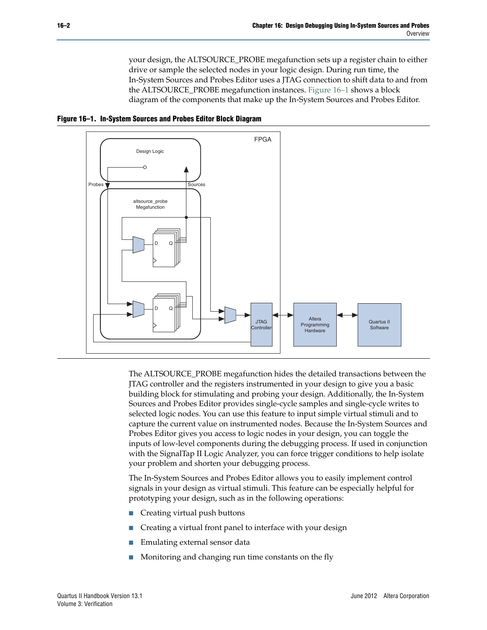your design, the ALTSOURCE\_PROBE megafunction sets up a register chain to either drive or sample the selected nodes in your logic design. During run time, the In-System Sources and Probes Editor uses a JTAG connection to shift data to and from the ALTSOURCE\_PROBE megafunction instances. [Figure 16–1](#page-1-0) shows a block diagram of the components that make up the In-System Sources and Probes Editor.

<span id="page-1-0"></span>



The ALTSOURCE\_PROBE megafunction hides the detailed transactions between the JTAG controller and the registers instrumented in your design to give you a basic building block for stimulating and probing your design. Additionally, the In-System Sources and Probes Editor provides single-cycle samples and single-cycle writes to selected logic nodes. You can use this feature to input simple virtual stimuli and to capture the current value on instrumented nodes. Because the In-System Sources and Probes Editor gives you access to logic nodes in your design, you can toggle the inputs of low-level components during the debugging process. If used in conjunction with the SignalTap II Logic Analyzer, you can force trigger conditions to help isolate your problem and shorten your debugging process.

The In-System Sources and Probes Editor allows you to easily implement control signals in your design as virtual stimuli. This feature can be especially helpful for prototyping your design, such as in the following operations:

- Creating virtual push buttons
- Creating a virtual front panel to interface with your design
- Emulating external sensor data
- Monitoring and changing run time constants on the fly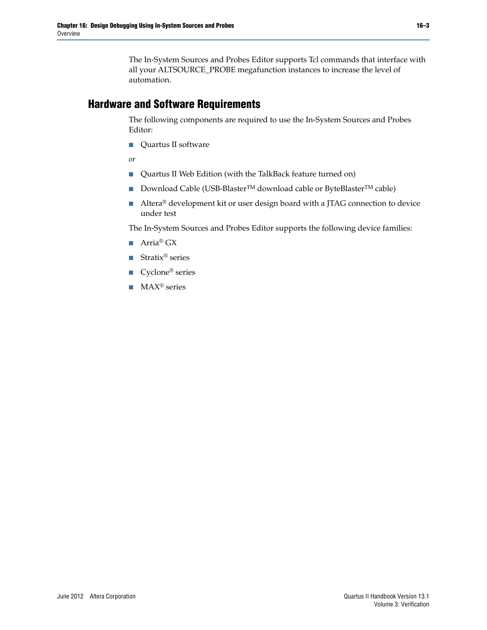The In-System Sources and Probes Editor supports Tcl commands that interface with all your ALTSOURCE\_PROBE megafunction instances to increase the level of automation.

#### **Hardware and Software Requirements**

The following components are required to use the In-System Sources and Probes Editor:

■ Quartus II software

*or*

- Quartus II Web Edition (with the TalkBack feature turned on)
- Download Cable (USB-Blaster<sup>TM</sup> download cable or ByteBlaster<sup>TM</sup> cable)
- Altera<sup>®</sup> development kit or user design board with a JTAG connection to device under test

The In-System Sources and Probes Editor supports the following device families:

- Arria® GX
- Stratix<sup>®</sup> series
- Cyclone<sup>®</sup> series
- MAX<sup>®</sup> series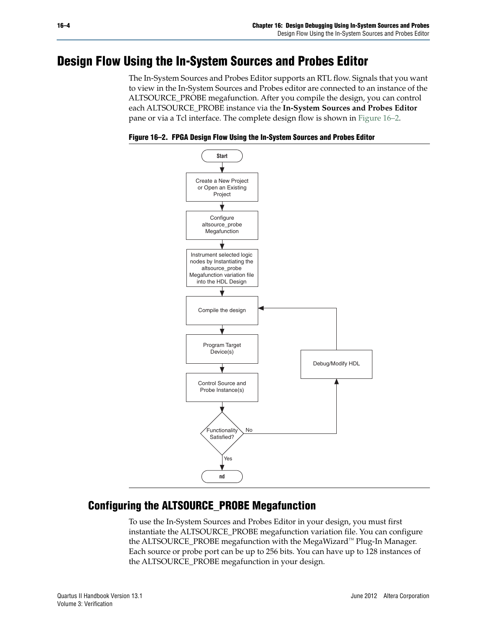# <span id="page-3-0"></span>**Design Flow Using the In-System Sources and Probes Editor**

The In-System Sources and Probes Editor supports an RTL flow. Signals that you want to view in the In-System Sources and Probes editor are connected to an instance of the ALTSOURCE\_PROBE megafunction. After you compile the design, you can control each ALTSOURCE\_PROBE instance via the **In-System Sources and Probes Editor** pane or via a Tcl interface. The complete design flow is shown in [Figure 16–2.](#page-3-1)

<span id="page-3-1"></span>**Figure 16–2. FPGA Design Flow Using the In-System Sources and Probes Editor**



### **Configuring the ALTSOURCE\_PROBE Megafunction**

To use the In-System Sources and Probes Editor in your design, you must first instantiate the ALTSOURCE\_PROBE megafunction variation file. You can configure the ALTSOURCE\_PROBE megafunction with the MegaWizard™ Plug-In Manager. Each source or probe port can be up to 256 bits. You can have up to 128 instances of the ALTSOURCE\_PROBE megafunction in your design.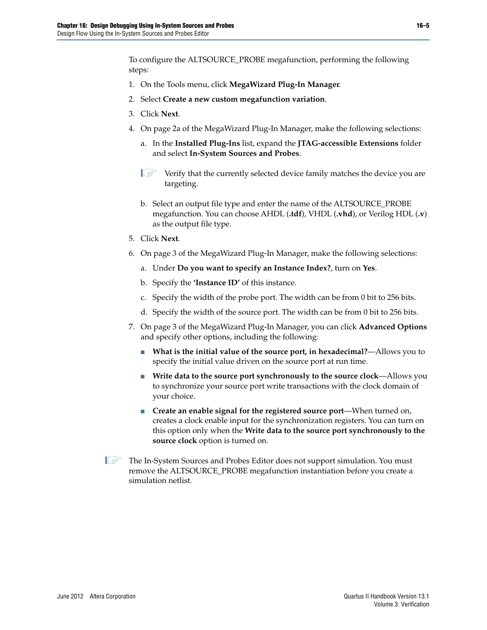To configure the ALTSOURCE\_PROBE megafunction, performing the following steps:

- 1. On the Tools menu, click **MegaWizard Plug-In Manager**.
- 2. Select **Create a new custom megafunction variation**.
- 3. Click **Next**.
- 4. On page 2a of the MegaWizard Plug-In Manager, make the following selections:
	- a. In the **Installed Plug-Ins** list, expand the **JTAG-accessible Extensions** folder and select **In-System Sources and Probes**.
	- $\mathbb{L}$  Verify that the currently selected device family matches the device you are targeting.
	- b. Select an output file type and enter the name of the ALTSOURCE\_PROBE megafunction. You can choose AHDL (**.tdf**), VHDL (**.vhd**), or Verilog HDL (**.v**) as the output file type.
- 5. Click **Next**.
- 6. On page 3 of the MegaWizard Plug-In Manager, make the following selections:
	- a. Under **Do you want to specify an Instance Index?**, turn on **Yes**.
	- b. Specify the **'Instance ID'** of this instance.
	- c. Specify the width of the probe port. The width can be from 0 bit to 256 bits.
	- d. Specify the width of the source port. The width can be from 0 bit to 256 bits.
- 7. On page 3 of the MegaWizard Plug-In Manager, you can click **Advanced Options** and specify other options, including the following:
	- **What is the initial value of the source port, in hexadecimal?—Allows you to** specify the initial value driven on the source port at run time.
	- Write data to the source port synchronously to the source clock—Allows you to synchronize your source port write transactions with the clock domain of your choice.
	- **Create an enable signal for the registered source port—When turned on,** creates a clock enable input for the synchronization registers. You can turn on this option only when the **Write data to the source port synchronously to the source clock** option is turned on.
- **1.5 The In-System Sources and Probes Editor does not support simulation. You must** remove the ALTSOURCE\_PROBE megafunction instantiation before you create a simulation netlist.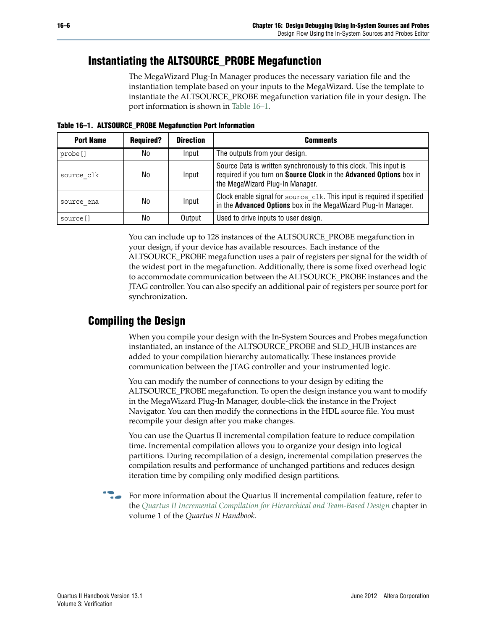### **Instantiating the ALTSOURCE\_PROBE Megafunction**

The MegaWizard Plug-In Manager produces the necessary variation file and the instantiation template based on your inputs to the MegaWizard. Use the template to instantiate the ALTSOURCE\_PROBE megafunction variation file in your design. The port information is shown in [Table 16–1](#page-5-0).

<span id="page-5-0"></span>**Table 16–1. ALTSOURCE\_PROBE Megafunction Port Information**

| <b>Port Name</b> | <b>Required?</b> | <b>Direction</b> | <b>Comments</b>                                                                                                                                                             |
|------------------|------------------|------------------|-----------------------------------------------------------------------------------------------------------------------------------------------------------------------------|
| probe []         | No               | Input            | The outputs from your design.                                                                                                                                               |
| source clk       | No               | Input            | Source Data is written synchronously to this clock. This input is<br>required if you turn on Source Clock in the Advanced Options box in<br>the MegaWizard Plug-In Manager. |
| source ena       | No               | Input            | Clock enable signal for source clk. This input is required if specified<br>in the Advanced Options box in the MegaWizard Plug-In Manager.                                   |
| source []        | No               | Output           | Used to drive inputs to user design.                                                                                                                                        |

You can include up to 128 instances of the ALTSOURCE\_PROBE megafunction in your design, if your device has available resources. Each instance of the ALTSOURCE\_PROBE megafunction uses a pair of registers per signal for the width of the widest port in the megafunction. Additionally, there is some fixed overhead logic to accommodate communication between the ALTSOURCE\_PROBE instances and the JTAG controller. You can also specify an additional pair of registers per source port for synchronization.

## **Compiling the Design**

When you compile your design with the In-System Sources and Probes megafunction instantiated, an instance of the ALTSOURCE\_PROBE and SLD\_HUB instances are added to your compilation hierarchy automatically. These instances provide communication between the JTAG controller and your instrumented logic.

You can modify the number of connections to your design by editing the ALTSOURCE\_PROBE megafunction. To open the design instance you want to modify in the MegaWizard Plug-In Manager, double-click the instance in the Project Navigator. You can then modify the connections in the HDL source file. You must recompile your design after you make changes.

You can use the Quartus II incremental compilation feature to reduce compilation time. Incremental compilation allows you to organize your design into logical partitions. During recompilation of a design, incremental compilation preserves the compilation results and performance of unchanged partitions and reduces design iteration time by compiling only modified design partitions.

For more information about the Quartus II incremental compilation feature, refer to the *[Quartus II Incremental Compilation for Hierarchical and Team-Based Design](http://www.altera.com/literature/hb/qts/qts_qii51015.pdf)* chapter in volume 1 of the *Quartus II Handbook*.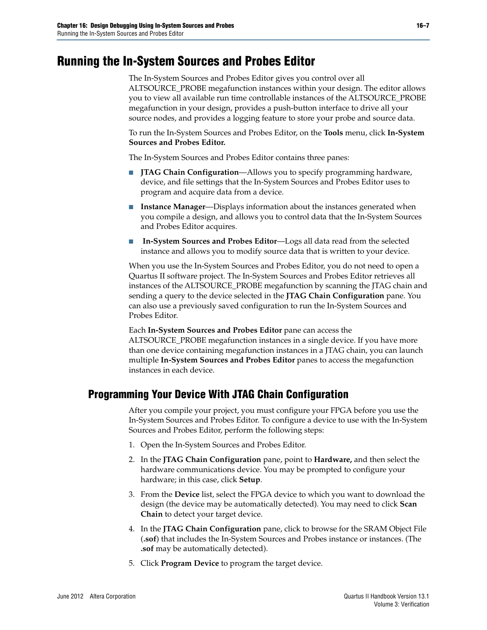# <span id="page-6-0"></span>**Running the In-System Sources and Probes Editor**

The In-System Sources and Probes Editor gives you control over all ALTSOURCE\_PROBE megafunction instances within your design. The editor allows you to view all available run time controllable instances of the ALTSOURCE\_PROBE megafunction in your design, provides a push-button interface to drive all your source nodes, and provides a logging feature to store your probe and source data.

To run the In-System Sources and Probes Editor, on the **Tools** menu, click **In-System Sources and Probes Editor.**

The In-System Sources and Probes Editor contains three panes:

- **JTAG Chain Configuration**—Allows you to specify programming hardware, device, and file settings that the In-System Sources and Probes Editor uses to program and acquire data from a device.
- **Instance Manager—Displays information about the instances generated when** you compile a design, and allows you to control data that the In-System Sources and Probes Editor acquires.
- In-System Sources and Probes Editor-Logs all data read from the selected instance and allows you to modify source data that is written to your device.

When you use the In-System Sources and Probes Editor, you do not need to open a Quartus II software project. The In-System Sources and Probes Editor retrieves all instances of the ALTSOURCE\_PROBE megafunction by scanning the JTAG chain and sending a query to the device selected in the **JTAG Chain Configuration** pane. You can also use a previously saved configuration to run the In-System Sources and Probes Editor.

Each **In-System Sources and Probes Editor** pane can access the ALTSOURCE\_PROBE megafunction instances in a single device. If you have more than one device containing megafunction instances in a JTAG chain, you can launch multiple **In-System Sources and Probes Editor** panes to access the megafunction instances in each device.

### **Programming Your Device With JTAG Chain Configuration**

After you compile your project, you must configure your FPGA before you use the In-System Sources and Probes Editor. To configure a device to use with the In-System Sources and Probes Editor, perform the following steps:

- 1. Open the In-System Sources and Probes Editor.
- 2. In the **JTAG Chain Configuration** pane, point to **Hardware,** and then select the hardware communications device. You may be prompted to configure your hardware; in this case, click **Setup**.
- 3. From the **Device** list, select the FPGA device to which you want to download the design (the device may be automatically detected). You may need to click **Scan Chain** to detect your target device.
- 4. In the **JTAG Chain Configuration** pane, click to browse for the SRAM Object File (**.sof**) that includes the In-System Sources and Probes instance or instances. (The **.sof** may be automatically detected).
- 5. Click **Program Device** to program the target device.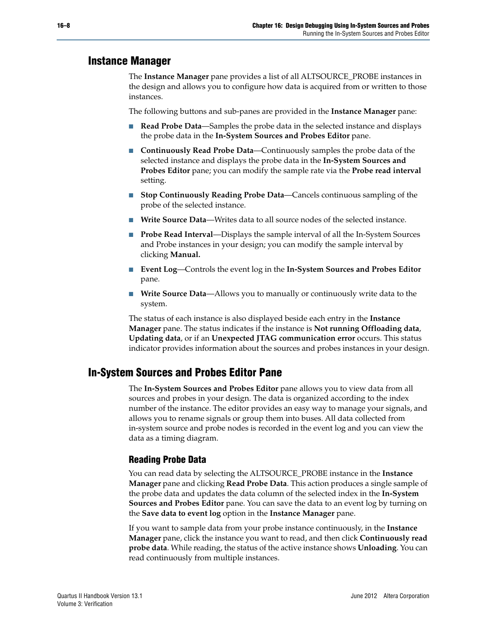#### **Instance Manager**

The **Instance Manager** pane provides a list of all ALTSOURCE\_PROBE instances in the design and allows you to configure how data is acquired from or written to those instances.

The following buttons and sub-panes are provided in the **Instance Manager** pane:

- **Read Probe Data**—Samples the probe data in the selected instance and displays the probe data in the **In-System Sources and Probes Editor** pane.
- **Continuously Read Probe Data—Continuously samples the probe data of the** selected instance and displays the probe data in the **In-System Sources and Probes Editor** pane; you can modify the sample rate via the **Probe read interval** setting.
- **Stop Continuously Reading Probe Data—Cancels continuous sampling of the** probe of the selected instance.
- **Write Source Data—Writes data to all source nodes of the selected instance.**
- **Probe Read Interval—Displays the sample interval of all the In-System Sources** and Probe instances in your design; you can modify the sample interval by clicking **Manual.**
- **Event Log**—Controls the event log in the **In-System Sources and Probes Editor** pane.
- **Write Source Data—Allows you to manually or continuously write data to the** system.

The status of each instance is also displayed beside each entry in the **Instance Manager** pane. The status indicates if the instance is **Not running Offloading data**, **Updating data**, or if an **Unexpected JTAG communication error** occurs. This status indicator provides information about the sources and probes instances in your design.

### **In-System Sources and Probes Editor Pane**

The **In-System Sources and Probes Editor** pane allows you to view data from all sources and probes in your design. The data is organized according to the index number of the instance. The editor provides an easy way to manage your signals, and allows you to rename signals or group them into buses. All data collected from in-system source and probe nodes is recorded in the event log and you can view the data as a timing diagram.

#### **Reading Probe Data**

You can read data by selecting the ALTSOURCE\_PROBE instance in the **Instance Manager** pane and clicking **Read Probe Data**. This action produces a single sample of the probe data and updates the data column of the selected index in the **In-System Sources and Probes Editor** pane. You can save the data to an event log by turning on the **Save data to event log** option in the **Instance Manager** pane.

If you want to sample data from your probe instance continuously, in the **Instance Manager** pane, click the instance you want to read, and then click **Continuously read probe data**. While reading, the status of the active instance shows **Unloading**. You can read continuously from multiple instances.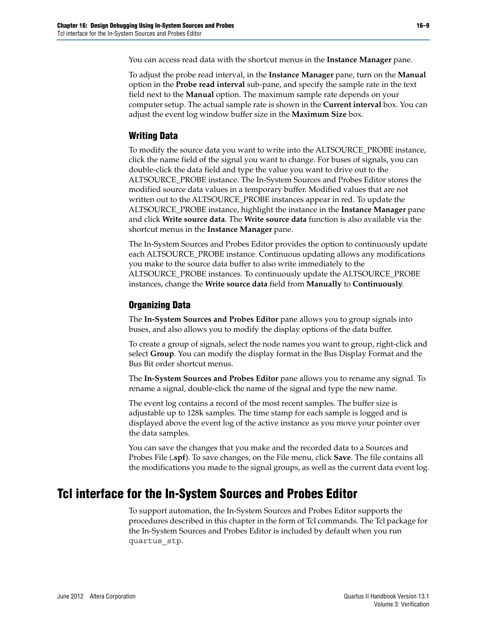You can access read data with the shortcut menus in the **Instance Manager** pane.

To adjust the probe read interval, in the **Instance Manager** pane, turn on the **Manual** option in the **Probe read interval** sub-pane, and specify the sample rate in the text field next to the **Manual** option. The maximum sample rate depends on your computer setup. The actual sample rate is shown in the **Current interval** box. You can adjust the event log window buffer size in the **Maximum Size** box.

#### **Writing Data**

To modify the source data you want to write into the ALTSOURCE\_PROBE instance, click the name field of the signal you want to change. For buses of signals, you can double-click the data field and type the value you want to drive out to the ALTSOURCE\_PROBE instance. The In-System Sources and Probes Editor stores the modified source data values in a temporary buffer. Modified values that are not written out to the ALTSOURCE\_PROBE instances appear in red. To update the ALTSOURCE\_PROBE instance, highlight the instance in the **Instance Manager** pane and click **Write source data**. The **Write source data** function is also available via the shortcut menus in the **Instance Manager** pane.

The In-System Sources and Probes Editor provides the option to continuously update each ALTSOURCE\_PROBE instance. Continuous updating allows any modifications you make to the source data buffer to also write immediately to the ALTSOURCE\_PROBE instances. To continuously update the ALTSOURCE\_PROBE instances, change the **Write source data** field from **Manually** to **Continuously**.

#### **Organizing Data**

The **In-System Sources and Probes Editor** pane allows you to group signals into buses, and also allows you to modify the display options of the data buffer.

To create a group of signals, select the node names you want to group, right-click and select **Group**. You can modify the display format in the Bus Display Format and the Bus Bit order shortcut menus.

The **In-System Sources and Probes Editor** pane allows you to rename any signal. To rename a signal, double-click the name of the signal and type the new name.

The event log contains a record of the most recent samples. The buffer size is adjustable up to 128k samples. The time stamp for each sample is logged and is displayed above the event log of the active instance as you move your pointer over the data samples.

You can save the changes that you make and the recorded data to a Sources and Probes File (**.spf**). To save changes, on the File menu, click **Save**. The file contains all the modifications you made to the signal groups, as well as the current data event log.

### <span id="page-8-0"></span>**Tcl interface for the In-System Sources and Probes Editor**

To support automation, the In-System Sources and Probes Editor supports the procedures described in this chapter in the form of Tcl commands. The Tcl package for the In-System Sources and Probes Editor is included by default when you run quartus\_stp.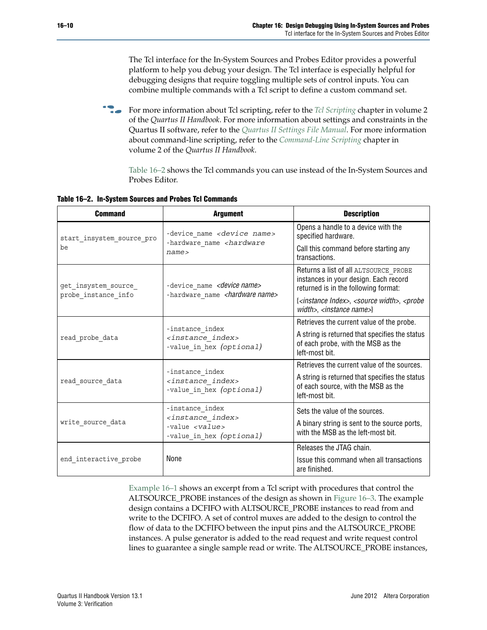The Tcl interface for the In-System Sources and Probes Editor provides a powerful platform to help you debug your design. The Tcl interface is especially helpful for debugging designs that require toggling multiple sets of control inputs. You can combine multiple commands with a Tcl script to define a custom command set.

**For more information about Tcl scripting, refer to the** *[Tcl Scripting](http://www.altera.com/literature/hb/qts/qts_qii52003.pdf)* **chapter in volume 2** of the *Quartus II Handbook*. For more information about settings and constraints in the Quartus II software, refer to the *[Quartus II Settings File Manual](http://www.altera.com/literature/manual/mnl_qsf_reference.pdf)*. For more information about command-line scripting, refer to the *[Command-Line Scripting](http://www.altera.com/literature/hb/qts/qts_qii52002.pdf)* chapter in volume 2 of the *Quartus II Handbook*.

[Table 16–2](#page-9-0) shows the Tcl commands you can use instead of the In-System Sources and Probes Editor.

<span id="page-9-0"></span>**Table 16–2. In-System Sources and Probes Tcl Commands**

| <b>Command</b>                             | <b>Argument</b>                                                                                                   | <b>Description</b>                                                                                                     |
|--------------------------------------------|-------------------------------------------------------------------------------------------------------------------|------------------------------------------------------------------------------------------------------------------------|
| start insystem_source_pro                  | -device name <device name=""></device>                                                                            | Opens a handle to a device with the<br>specified hardware.                                                             |
| be                                         | -hardware name <hardware<br>name</hardware<br>                                                                    | Call this command before starting any<br>transactions.                                                                 |
| get insystem source<br>probe instance info | -device name <device name=""><br/>-hardware name <hardware name=""></hardware></device>                           | Returns a list of all ALTSOURCE PROBE<br>instances in your design. Each record<br>returned is in the following format: |
|                                            |                                                                                                                   | { <instance index="">, <source width=""/>, <probe<br>width&gt;, <instance name="">}</instance></probe<br></instance>   |
|                                            |                                                                                                                   | Retrieves the current value of the probe.                                                                              |
| read probe data                            | -instance index<br><instance index=""><br/>-value in hex (optional)</instance>                                    | A string is returned that specifies the status<br>of each probe, with the MSB as the<br>left-most bit.                 |
|                                            |                                                                                                                   | Retrieves the current value of the sources.                                                                            |
| read source data                           | -instance index<br><instance index=""><br/>-value in hex (optional)</instance>                                    | A string is returned that specifies the status<br>of each source, with the MSB as the<br>left-most bit.                |
|                                            | -instance index                                                                                                   | Sets the value of the sources.                                                                                         |
| write source data                          | <instance index=""><br/><math>-</math>value <math>\langle</math>value&gt;<br/>-value in hex (optional)</instance> | A binary string is sent to the source ports,<br>with the MSB as the left-most bit.                                     |
|                                            |                                                                                                                   | Releases the JTAG chain.                                                                                               |
| end interactive probe                      | None                                                                                                              | Issue this command when all transactions<br>are finished.                                                              |

[Example 16–1](#page-11-0) shows an excerpt from a Tcl script with procedures that control the ALTSOURCE\_PROBE instances of the design as shown in [Figure 16–3.](#page-10-0) The example design contains a DCFIFO with ALTSOURCE\_PROBE instances to read from and write to the DCFIFO. A set of control muxes are added to the design to control the flow of data to the DCFIFO between the input pins and the ALTSOURCE\_PROBE instances. A pulse generator is added to the read request and write request control lines to guarantee a single sample read or write. The ALTSOURCE\_PROBE instances,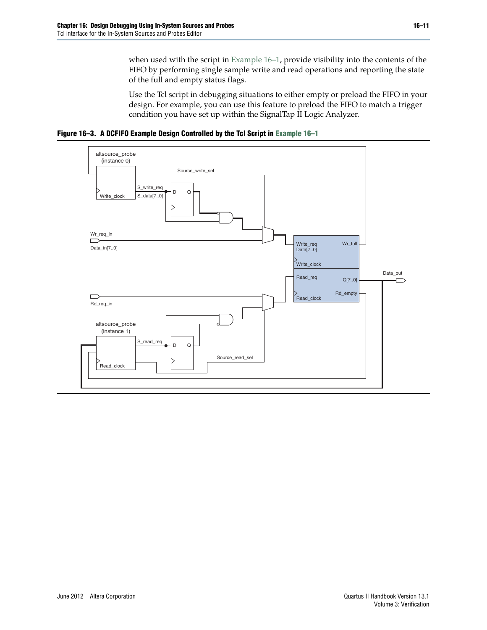when used with the script in [Example 16–1,](#page-11-0) provide visibility into the contents of the FIFO by performing single sample write and read operations and reporting the state of the full and empty status flags.

Use the Tcl script in debugging situations to either empty or preload the FIFO in your design. For example, you can use this feature to preload the FIFO to match a trigger condition you have set up within the SignalTap II Logic Analyzer.

<span id="page-10-0"></span>**Figure 16–3. A DCFIFO Example Design Controlled by the Tcl Script in [Example 16–1](#page-11-0)**

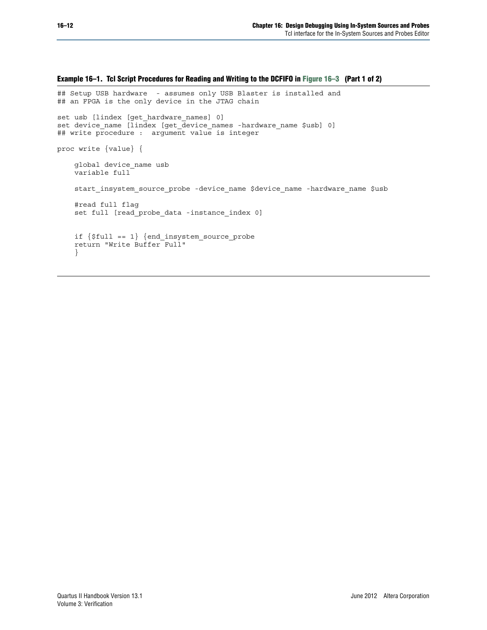### <span id="page-11-0"></span>**Example 16–1. Tcl Script Procedures for Reading and Writing to the DCFIFO in [Figure 16–3](#page-10-0) (Part 1 of 2)** ## Setup USB hardware - assumes only USB Blaster is installed and ## an FPGA is the only device in the JTAG chain set usb [lindex [get\_hardware\_names] 0] set device\_name [lindex [get\_device\_names -hardware\_name \$usb] 0] ## write procedure : argument value is integer proc write {value} { global device\_name usb variable full start insystem source probe -device name \$device name -hardware name \$usb #read full flag set full [read\_probe\_data -instance\_index 0] if {\$full == 1} {end\_insystem\_source\_probe

return "Write Buffer Full"

}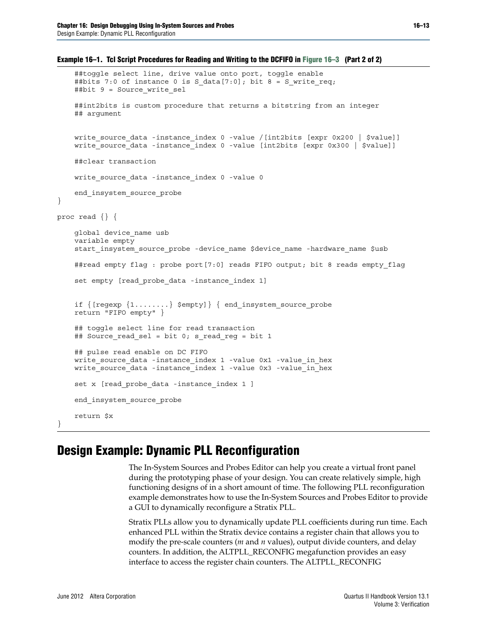```
Example 16–1. Tcl Script Procedures for Reading and Writing to the DCFIFO in Figure 16–3 (Part 2 of 2)
```

```
##toggle select line, drive value onto port, toggle enable
    ##bits 7:0 of instance 0 is S_data[7:0]; bit 8 = S_write_req;
    ##bit 9 = Source write sel
    ##int2bits is custom procedure that returns a bitstring from an integer
    ## argument
   write source data -instance index 0 -value /[int2bits [expr 0x200 | $value]]
   write source data -instance index 0 -value [int2bits [expr 0x300 | $value]]
    ##clear transaction
   write_source_data -instance_index 0 -value 0
    end_insystem_source_probe
proc read {} {
   global device_name usb
    variable empty
    start_insystem_source_probe -device_name $device_name -hardware_name $usb
    ##read empty flag : probe port [7:0] reads FIFO output; bit 8 reads empty flag
    set empty [read probe data -instance index 1]
    if {[regexp {1........} $empty]} { end_insystem_source_probe
    return "FIFO empty" }
    ## toggle select line for read transaction
    ## Source_read_sel = bit 0; s_read_reg = bit 1
    ## pulse read enable on DC FIFO
   write source data -instance index 1 -value 0x1 -value in hex
   write_source_data -instance_index 1 -value 0x3 -value_in_hex
    set x [read probe data -instance index 1 ]
    end_insystem_source_probe
    return $x
```
## <span id="page-12-0"></span>**Design Example: Dynamic PLL Reconfiguration**

The In-System Sources and Probes Editor can help you create a virtual front panel during the prototyping phase of your design. You can create relatively simple, high functioning designs of in a short amount of time. The following PLL reconfiguration example demonstrates how to use the In-System Sources and Probes Editor to provide a GUI to dynamically reconfigure a Stratix PLL.

Stratix PLLs allow you to dynamically update PLL coefficients during run time. Each enhanced PLL within the Stratix device contains a register chain that allows you to modify the pre-scale counters (*m* and *n* values), output divide counters, and delay counters. In addition, the ALTPLL\_RECONFIG megafunction provides an easy interface to access the register chain counters. The ALTPLL\_RECONFIG

}

}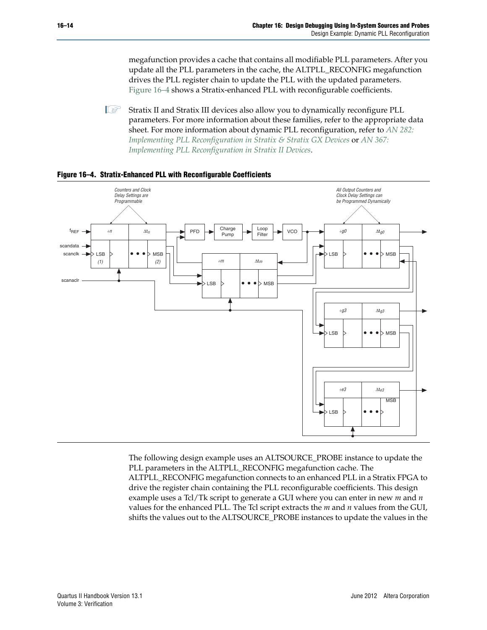megafunction provides a cache that contains all modifiable PLL parameters. After you update all the PLL parameters in the cache, the ALTPLL\_RECONFIG megafunction drives the PLL register chain to update the PLL with the updated parameters. [Figure 16–4](#page-13-0) shows a Stratix-enhanced PLL with reconfigurable coefficients.

**1 Stratix II** and Stratix III devices also allow you to dynamically reconfigure PLL parameters. For more information about these families, refer to the appropriate data sheet. For more information about dynamic PLL reconfiguration, refer to *[AN 282:](http://www.altera.com/literature/an/an282.pdf) [Implementing PLL Reconfiguration in Stratix & Stratix GX Devices](http://www.altera.com/literature/an/an282.pdf)* or *[AN 367:](http://www.altera.com/literature/an/an367.pdf) [Implementing PLL Reconfiguration in Stratix II Devices](http://www.altera.com/literature/an/an367.pdf)*.



#### <span id="page-13-0"></span>**Figure 16–4. Stratix-Enhanced PLL with Reconfigurable Coefficients**

The following design example uses an ALTSOURCE\_PROBE instance to update the PLL parameters in the ALTPLL\_RECONFIG megafunction cache. The ALTPLL\_RECONFIG megafunction connects to an enhanced PLL in a Stratix FPGA to drive the register chain containing the PLL reconfigurable coefficients. This design example uses a Tcl/Tk script to generate a GUI where you can enter in new *m* and *n* values for the enhanced PLL. The Tcl script extracts the *m* and *n* values from the GUI, shifts the values out to the ALTSOURCE\_PROBE instances to update the values in the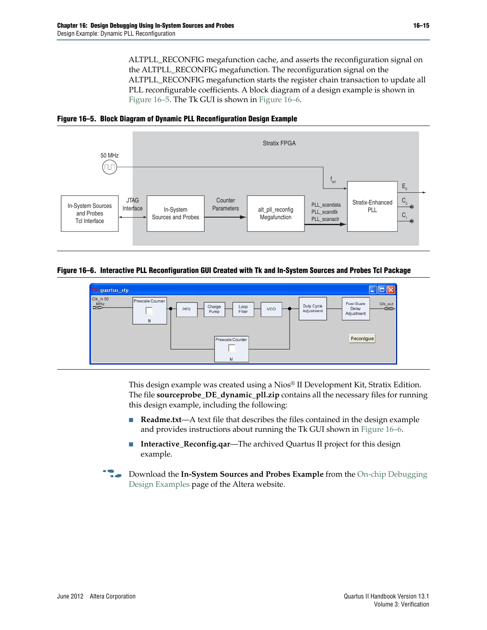ALTPLL\_RECONFIG megafunction cache, and asserts the reconfiguration signal on the ALTPLL\_RECONFIG megafunction. The reconfiguration signal on the ALTPLL\_RECONFIG megafunction starts the register chain transaction to update all PLL reconfigurable coefficients. A block diagram of a design example is shown in [Figure 16–5](#page-14-1). The Tk GUI is shown in [Figure 16–6.](#page-14-0)

<span id="page-14-1"></span>



<span id="page-14-0"></span>**Figure 16–6. Interactive PLL Reconfiguration GUI Created with Tk and In-System Sources and Probes Tcl Package**



This design example was created using a Nios® II Development Kit, Stratix Edition. The file **sourceprobe\_DE\_dynamic\_pll.zip** contains all the necessary files for running this design example, including the following:

- **Readme.txt**—A text file that describes the files contained in the design example and provides instructions about running the Tk GUI shown in [Figure 16–6](#page-14-0).
- **Interactive\_Reconfig.qar—The archived Quartus II project for this design** example.
- **Followish Download the In-System Sources and Probes Example** from the [On-chip Debugging](http://www.altera.com/support/examples/on-chip-debugging/on-chip-debugging.html) [Design Examples](http://www.altera.com/support/examples/on-chip-debugging/on-chip-debugging.html) page of the Altera website.